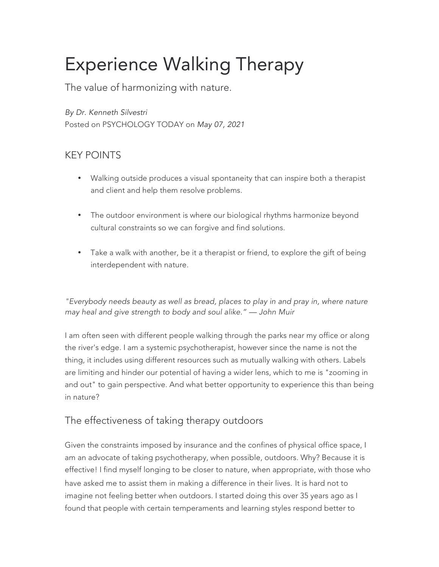## Experience Walking Therapy

The value of harmonizing with nature.

*By Dr. Kenneth Silvestri* Posted on PSYCHOLOGY TODAY on *May 07, 2021*

## KEY POINTS

- Walking outside produces a visual spontaneity that can inspire both a therapist and client and help them resolve problems.
- The outdoor environment is where our biological rhythms harmonize beyond cultural constraints so we can forgive and find solutions.
- Take a walk with another, be it a therapist or friend, to explore the gift of being interdependent with nature.

*"Everybody needs beauty as well as bread, places to play in and pray in, where nature may heal and give strength to body and soul alike." — John Muir*

I am often seen with different people walking through the parks near my office or along the river's edge. I am a systemic psychotherapist, however since the name is not the thing, it includes using different resources such as mutually walking with others. Labels are limiting and hinder our potential of having a wider lens, which to me is "zooming in and out" to gain perspective. And what better opportunity to experience this than being in nature?

## The effectiveness of taking therapy outdoors

Given the constraints imposed by insurance and the confines of physical office space, I am an advocate of taking psychotherapy, when possible, outdoors. Why? Because it is effective! I find myself longing to be closer to nature, when appropriate, with those who have asked me to assist them in making a difference in their lives. It is hard not to imagine not feeling better when outdoors. I started doing this over 35 years ago as I found that people with certain temperaments and learning styles respond better to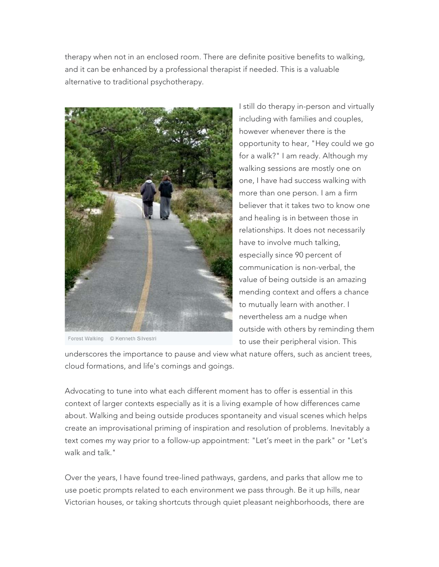therapy when not in an enclosed room. There are definite positive benefits to walking, and it can be enhanced by a professional therapist if needed. This is a valuable alternative to traditional psychotherapy.



Forest Walking © Kenneth Silvestri

I still do therapy in-person and virtually including with families and couples, however whenever there is the opportunity to hear, "Hey could we go for a walk?" I am ready. Although my walking sessions are mostly one on one, I have had success walking with more than one person. I am a firm believer that it takes two to know one and healing is in between those in relationships. It does not necessarily have to involve much talking, especially since 90 percent of communication is non-verbal, the value of being outside is an amazing mending context and offers a chance to mutually learn with another. I nevertheless am a nudge when outside with others by reminding them to use their peripheral vision. This

underscores the importance to pause and view what nature offers, such as ancient trees, cloud formations, and life's comings and goings.

Advocating to tune into what each different moment has to offer is essential in this context of larger contexts especially as it is a living example of how differences came about. Walking and being outside produces spontaneity and visual scenes which helps create an improvisational priming of inspiration and resolution of problems. Inevitably a text comes my way prior to a follow-up appointment: "Let's meet in the park" or "Let's walk and talk."

Over the years, I have found tree-lined pathways, gardens, and parks that allow me to use poetic prompts related to each environment we pass through. Be it up hills, near Victorian houses, or taking shortcuts through quiet pleasant neighborhoods, there are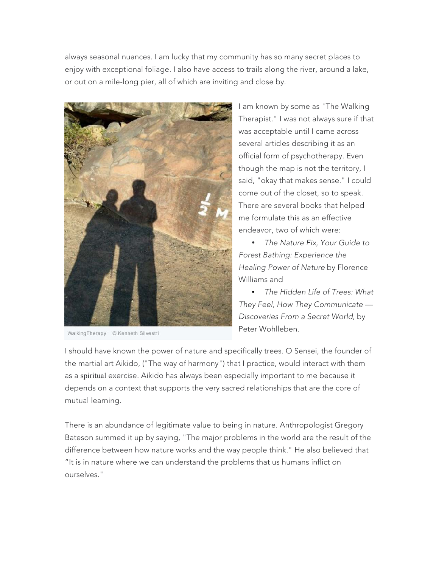always seasonal nuances. I am lucky that my community has so many secret places to enjoy with exceptional foliage. I also have access to trails along the river, around a lake, or out on a mile-long pier, all of which are inviting and close by.



WalkingTherapy © Kenneth Silvestri

I am known by some as "The Walking Therapist." I was not always sure if that was acceptable until I came across several articles describing it as an official form of psychotherapy. Even though the map is not the territory, I said, "okay that makes sense." I could come out of the closet, so to speak. There are several books that helped me formulate this as an effective endeavor, two of which were:

• *The Nature Fix, Your Guide to Forest Bathing: Experience the Healing Power of Nature* by Florence Williams and

• *The Hidden Life of Trees: What They Feel, How They Communicate — Discoveries From a Secret World,* by Peter Wohlleben.

I should have known the power of nature and specifically trees. O Sensei, the founder of the martial art Aikido, ("The way of harmony") that I practice, would interact with them as a spiritual exercise. Aikido has always been especially important to me because it depends on a context that supports the very sacred relationships that are the core of mutual learning.

There is an abundance of legitimate value to being in nature. Anthropologist Gregory Bateson summed it up by saying, "The major problems in the world are the result of the difference between how nature works and the way people think." He also believed that "It is in nature where we can understand the problems that us humans inflict on ourselves."